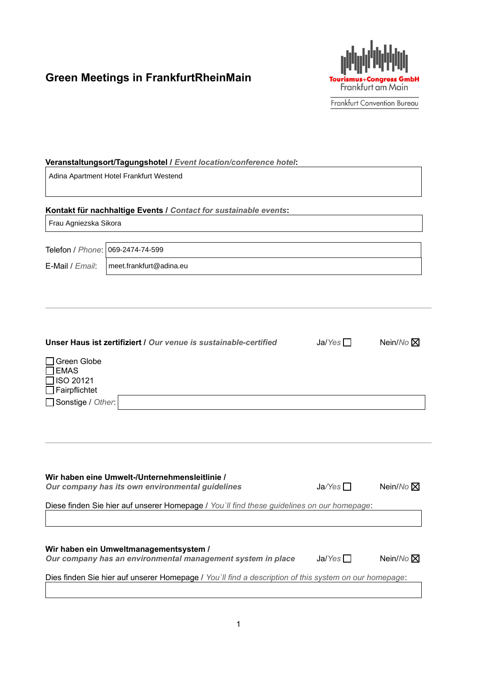# **Green Meetings in FrankfurtRheinMain**



Frankfurt Convention Bureau

#### **Veranstaltungsort/Tagungshotel /** *Event location/conference hotel***:**

Adina Apartment Hotel Frankfurt Westend

### **Kontakt für nachhaltige Events /** *Contact for sustainable events***:**

Frau Agniezska Sikora

E-Mail / *Email*:

Telefon / *Phone*: 069-2474-74-599 meet.frankfurt@adina.eu

|                                                                                                  | Unser Haus ist zertifiziert / Our venue is sustainable-certified | Ja/Yes | Nein/ $No \times$ |
|--------------------------------------------------------------------------------------------------|------------------------------------------------------------------|--------|-------------------|
| □ Green Globe<br>$\square$ EMAS<br>$\Box$ ISO 20121<br>$\Box$ Fairpflichtet<br>Sonstige / Other: |                                                                  |        |                   |
|                                                                                                  |                                                                  |        |                   |

## **Wir haben eine Umwelt-/Unternehmensleitlinie /**

| Our company has its own environmental guidelines | $Ja\text{/}$ es $\Box$ | Nein/No |
|--------------------------------------------------|------------------------|---------|
|--------------------------------------------------|------------------------|---------|

| $Ja\text{/}Yes$ | Nein/No <sub>[X]</sub> |
|-----------------|------------------------|
|-----------------|------------------------|

Diese finden Sie hier auf unserer Homepage / *You`ll find these guidelines on our homepage*:

## **Wir haben ein Umweltmanagementsystem /**

|  | Our company has an environmental management system in place | Ja/Yes | Nein/No X |
|--|-------------------------------------------------------------|--------|-----------|
|  |                                                             |        |           |

Dies finden Sie hier auf unserer Homepage / *You`ll find a description of this system on our homepage*: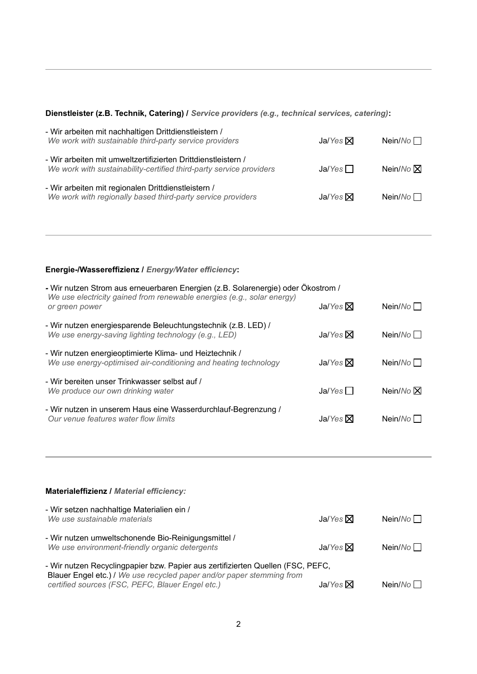## **Dienstleister (z.B. Technik, Catering) /** *Service providers (e.g., technical services, catering)***:**

| - Wir arbeiten mit nachhaltigen Drittdienstleistern /<br>We work with sustainable third-party service providers                      | Ja/Yes $\boxtimes$ | Nein/ $No$                |
|--------------------------------------------------------------------------------------------------------------------------------------|--------------------|---------------------------|
| - Wir arbeiten mit umweltzertifizierten Drittdienstleistern /<br>We work with sustainability-certified third-party service providers | Ja/Yes             | Nein/ $No$ $\overline{X}$ |
| - Wir arbeiten mit regionalen Drittdienstleistern /<br>We work with regionally based third-party service providers                   | Ja/Yes $\boxtimes$ | Nein/ $No$ $\Box$         |

## **Energie-/Wassereffizienz /** *Energy/Water efficiency***:**

| - Wir nutzen Strom aus erneuerbaren Energien (z.B. Solarenergie) oder Ökostrom /<br>We use electricity gained from renewable energies (e.g., solar energy)<br>or green power | Ja/Yes $ \mathsf{X} $ | Nein/ $No$ $\Box$ |
|------------------------------------------------------------------------------------------------------------------------------------------------------------------------------|-----------------------|-------------------|
| - Wir nutzen energiesparende Beleuchtungstechnik (z.B. LED) /<br>We use energy-saving lighting technology (e.g., LED)                                                        | Ja/Yes $\nabla$       | Nein/No           |
| - Wir nutzen energieoptimierte Klima- und Heiztechnik /<br>We use energy-optimised air-conditioning and heating technology                                                   | Ja/Yes $\nabla$       | Nein/ $No$        |
| - Wir bereiten unser Trinkwasser selbst auf /<br>We produce our own drinking water                                                                                           | Ja/Yes                | Nein/ $No \times$ |
| - Wir nutzen in unserem Haus eine Wasserdurchlauf-Begrenzung /<br>Our venue features water flow limits                                                                       | Ja/Yes $ \mathsf{X} $ | Nein/ $No$        |

| <b>Materialeffizienz / Material efficiency:</b>                                                                                                                                                              |                 |                   |
|--------------------------------------------------------------------------------------------------------------------------------------------------------------------------------------------------------------|-----------------|-------------------|
| - Wir setzen nachhaltige Materialien ein /<br>We use sustainable materials                                                                                                                                   | Ja/Yes $\nabla$ | Nein/ $No$ $\Box$ |
| - Wir nutzen umweltschonende Bio-Reinigungsmittel /<br>We use environment-friendly organic detergents                                                                                                        | Ja/Yes $\nabla$ | Nein/ $No$        |
| - Wir nutzen Recyclingpapier bzw. Papier aus zertifizierten Quellen (FSC, PEFC,<br>Blauer Engel etc.) / We use recycled paper and/or paper stemming from<br>certified sources (FSC, PEFC, Blauer Engel etc.) | Ja/Yes $\nabla$ | Nein/No           |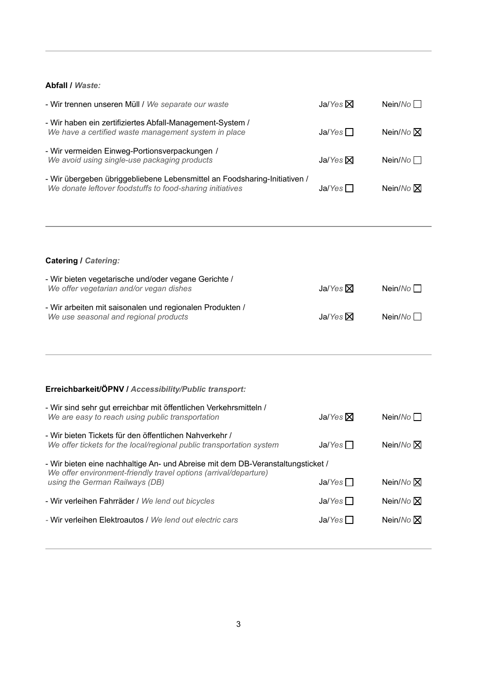### **Abfall /** *Waste:*

| - Wir trennen unseren Müll / We separate our waste                                                                                     | Ja/Yes $\nabla$ | Nein/ $No$             |
|----------------------------------------------------------------------------------------------------------------------------------------|-----------------|------------------------|
| - Wir haben ein zertifiziertes Abfall-Management-System /<br>We have a certified waste management system in place                      | Ja/Yes          | Nein/ $No$ $\boxtimes$ |
| - Wir vermeiden Einweg-Portionsverpackungen /<br>We avoid using single-use packaging products                                          | Ja/Yes $\nabla$ | Nein/ $No$             |
| - Wir übergeben übriggebliebene Lebensmittel an Foodsharing-Initiativen /<br>We donate leftover foodstuffs to food-sharing initiatives | Ja/Yes          | Nein/ $No$ $\boxtimes$ |
|                                                                                                                                        |                 |                        |
| <b>Catering / Catering:</b>                                                                                                            |                 |                        |
| - Wir bieten vegetarische und/oder vegane Gerichte /<br>We offer vegetarian and/or vegan dishes                                        | Ja/Yes $\nabla$ | Nein/ $No$             |
| - Wir arbeiten mit saisonalen und regionalen Produkten /<br>We use seasonal and regional products                                      | Ja/Yes $\nabla$ | Nein/No $\Box$         |
|                                                                                                                                        |                 |                        |
| Erreichbarkeit/ÖPNV / Accessibility/Public transport:                                                                                  |                 |                        |
| Mir aind eabr aut erraighbor mit öffentlichen Verkehremitteln /                                                                        |                 |                        |

| - Wir sind sehr gut erreichbar mit öffentlichen Verkehrsmitteln /<br>We are easy to reach using public transportation          | Ja/Yes $\Sigma$ | Nein/ $No$             |  |
|--------------------------------------------------------------------------------------------------------------------------------|-----------------|------------------------|--|
| - Wir bieten Tickets für den öffentlichen Nahverkehr /<br>We offer tickets for the local/regional public transportation system | Ja/Yes          | Nein/ $No$ $\boxtimes$ |  |
| - Wir bieten eine nachhaltige An- und Abreise mit dem DB-Veranstaltungsticket /                                                |                 |                        |  |
| We offer environment-friendly travel options (arrival/departure)<br>using the German Railways (DB)                             | Ja/Yes          | Nein/ $No$ $\boxtimes$ |  |
| - Wir verleihen Fahrräder / We lend out bicycles                                                                               | Ja/Yes          | Nein/ $No$ $\boxtimes$ |  |
| - Wir verleihen Elektroautos / We lend out electric cars                                                                       | Ja/Yes          | Nein/ $No$ $\boxtimes$ |  |
|                                                                                                                                |                 |                        |  |